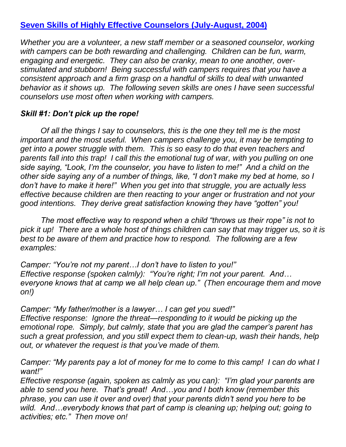# **[Seven Skills of Highly Effective Counselors \(July-August, 2004\)](http://bobditter.com/articles/column.aspx?column=14)**

*Whether you are a volunteer, a new staff member or a seasoned counselor, working with campers can be both rewarding and challenging. Children can be fun, warm, engaging and energetic. They can also be cranky, mean to one another, overstimulated and stubborn! Being successful with campers requires that you have a consistent approach and a firm grasp on a handful of skills to deal with unwanted behavior as it shows up. The following seven skills are ones I have seen successful counselors use most often when working with campers.*

## *Skill #1: Don't pick up the rope!*

*Of all the things I say to counselors, this is the one they tell me is the most important and the most useful. When campers challenge you, it may be tempting to get into a power struggle with them. This is so easy to do that even teachers and parents fall into this trap! I call this the emotional tug of war, with you pulling on one side saying, "Look, I'm the counselor, you have to listen to me!" And a child on the other side saying any of a number of things, like, "I don't make my bed at home, so I don't have to make it here!" When you get into that struggle, you are actually less effective because children are then reacting to your anger or frustration and not your good intentions. They derive great satisfaction knowing they have "gotten" you!*

*The most effective way to respond when a child "throws us their rope" is not to pick it up! There are a whole host of things children can say that may trigger us, so it is best to be aware of them and practice how to respond. The following are a few examples:*

*Camper: "You're not my parent…I don't have to listen to you!" Effective response (spoken calmly): "You're right; I'm not your parent. And… everyone knows that at camp we all help clean up." (Then encourage them and move on!)*

*Camper: "My father/mother is a lawyer… I can get you sued!" Effective response: Ignore the threat—responding to it would be picking up the emotional rope. Simply, but calmly, state that you are glad the camper's parent has such a great profession, and you still expect them to clean-up, wash their hands, help out, or whatever the request is that you've made of them.*

*Camper: "My parents pay a lot of money for me to come to this camp! I can do what I want!"*

*Effective response (again, spoken as calmly as you can): "I'm glad your parents are able to send you here. That's great! And…you and I both know (remember this phrase, you can use it over and over) that your parents didn't send you here to be wild. And…everybody knows that part of camp is cleaning up; helping out; going to activities; etc." Then move on!*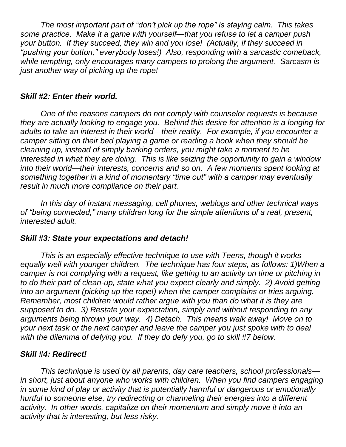*The most important part of "don't pick up the rope" is staying calm. This takes some practice. Make it a game with yourself—that you refuse to let a camper push your button. If they succeed, they win and you lose! (Actually, if they succeed in "pushing your button," everybody loses!) Also, responding with a sarcastic comeback, while tempting, only encourages many campers to prolong the argument. Sarcasm is just another way of picking up the rope!*

### *Skill #2: Enter their world.*

*One of the reasons campers do not comply with counselor requests is because they are actually looking to engage you. Behind this desire for attention is a longing for adults to take an interest in their world—their reality. For example, if you encounter a camper sitting on their bed playing a game or reading a book when they should be cleaning up, instead of simply barking orders, you might take a moment to be interested in what they are doing. This is like seizing the opportunity to gain a window into their world—their interests, concerns and so on. A few moments spent looking at something together in a kind of momentary "time out" with a camper may eventually result in much more compliance on their part.*

*In this day of instant messaging, cell phones, weblogs and other technical ways of "being connected," many children long for the simple attentions of a real, present, interested adult.*

### *Skill #3: State your expectations and detach!*

*This is an especially effective technique to use with Teens, though it works equally well with younger children. The technique has four steps, as follows: 1)When a camper is not complying with a request, like getting to an activity on time or pitching in to do their part of clean-up, state what you expect clearly and simply. 2) Avoid getting into an argument (picking up the rope!) when the camper complains or tries arguing. Remember, most children would rather argue with you than do what it is they are supposed to do. 3) Restate your expectation, simply and without responding to any arguments being thrown your way. 4) Detach. This means walk away! Move on to your next task or the next camper and leave the camper you just spoke with to deal with the dilemma of defying you. If they do defy you, go to skill #7 below.*

#### *Skill #4: Redirect!*

*This technique is used by all parents, day care teachers, school professionals in short, just about anyone who works with children. When you find campers engaging in some kind of play or activity that is potentially harmful or dangerous or emotionally hurtful to someone else, try redirecting or channeling their energies into a different activity. In other words, capitalize on their momentum and simply move it into an activity that is interesting, but less risky.*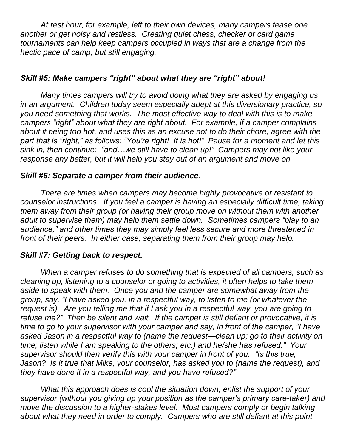*At rest hour, for example, left to their own devices, many campers tease one another or get noisy and restless. Creating quiet chess, checker or card game tournaments can help keep campers occupied in ways that are a change from the hectic pace of camp, but still engaging.*

## *Skill #5: Make campers "right" about what they are "right" about!*

*Many times campers will try to avoid doing what they are asked by engaging us in an argument. Children today seem especially adept at this diversionary practice, so you need something that works. The most effective way to deal with this is to make campers "right" about what they are right about. For example, if a camper complains about it being too hot, and uses this as an excuse not to do their chore, agree with the part that is "right," as follows: "You're right! It is hot!" Pause for a moment and let this sink in, then continue: "and…we still have to clean up!" Campers may not like your response any better, but it will help you stay out of an argument and move on.*

### *Skill #6: Separate a camper from their audience.*

*There are times when campers may become highly provocative or resistant to counselor instructions. If you feel a camper is having an especially difficult time, taking them away from their group (or having their group move on without them with another adult to supervise them) may help them settle down. Sometimes campers "play to an audience," and other times they may simply feel less secure and more threatened in front of their peers. In either case, separating them from their group may help.*

### *Skill #7: Getting back to respect.*

*When a camper refuses to do something that is expected of all campers, such as cleaning up, listening to a counselor or going to activities, it often helps to take them aside to speak with them. Once you and the camper are somewhat away from the group, say, "I have asked you, in a respectful way, to listen to me (or whatever the request is). Are you telling me that if I ask you in a respectful way, you are going to refuse me?" Then be silent and wait. If the camper is still defiant or provocative, it is time to go to your supervisor with your camper and say, in front of the camper, "I have asked Jason in a respectful way to (name the request—clean up; go to their activity on time; listen while I am speaking to the others; etc.) and he/she has refused." Your supervisor should then verify this with your camper in front of you. "Is this true, Jason? Is it true that Mike, your counselor, has asked you to (name the request), and they have done it in a respectful way, and you have refused?"*

*What this approach does is cool the situation down, enlist the support of your supervisor (without you giving up your position as the camper's primary care-taker) and move the discussion to a higher-stakes level. Most campers comply or begin talking about what they need in order to comply. Campers who are still defiant at this point*